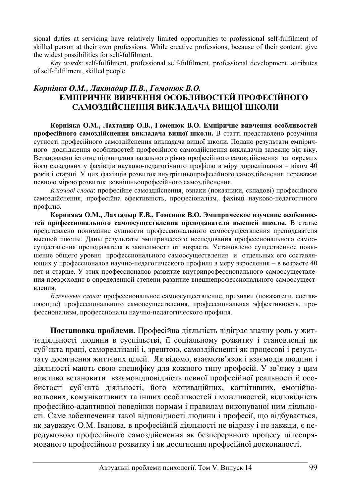sional duties at servicing have relatively limited opportunities to professional self-fulfilment of skilled person at their own professions. While creative professions, because of their content, give the widest possibilities for self-fulfilment.

*Key words*: self-fulfilment, professional self-fulfilment, professional development, attributes of self-fulfilment, skilled people.

# $K$ орніяка О.М., Лахтадир П.В., Гомонюк В.О. **ЕМПІРИЧНЕ ВИВЧЕННЯ ОСОБЛИВОСТЕЙ ПРОФЕСІЙНОГО** САМОЗДІЙСНЕННЯ ВИКЛАДАЧА ВИЩОЇ ШКОЛИ

Корніяка О.М., Лахтадир О.В., Гоменюк В.О. Емпіричне вивчення особливостей професійного самоздійснення викладача вищої школи. В статті представлено розуміння сутності професійного самоздійснення викладача вищої школи. Подано результати емпіричного дослідження особливостей професійного самоздійснення викладачів залежно від віку. Встановлено істотне підвищення загального рівня професійного самоздійснення та окремих його складових у фахівців науково-педагогічного профілю в міру дорослішання – віком 40 років і старші. У цих фахівців розвиток внутрішньопрофесійного самоздійснення переважає певною мірою розвиток зовнішньопрофесійного самоздійснення.

Ключові слова: професійне самоздійснення, ознаки (показники, складові) професійного самоздійснення, професійна ефективність, професіоналізм, фахівці науково-педагогічного профілю.

Корнияка О.М., Лахтадыр Е.В., Гоменюк В.О. Эмпирическое изучение особенностей профессионального самоосуществления преподавателя высшей школы. В статье представлено понимание сущности профессионального самоосуществления преподавателя высшей школы. Даны результаты эмпирического исследования профессионального самоосуществления преподавателя в зависимости от возраста. Установлено существенное повышение общего уровня профессионального самоосуществления и отдельных его составляющих у профессионалов научно-педагогического профиля в меру взросления – в возрасте 40 лет и старше. У этих профессионалов развитие внутрипрофессионального самоосуществления превосходит в определенной степени развитие внешнепрофессионального самоосуществления.

Ключевые слова: профессиональное самоосуществление, признаки (показатели, составляющие) профессионального самоосуществления, профессиональная эффективность, профессионализм, профессионалы научно-педагогического профиля.

Постановка проблеми. Професійна діяльність відіграє значну роль у життєдіяльності людини в суспільстві, її соціальному розвитку і становленні як суб'єкта праці, самореалізації і, зрештою, самоздійсненні як процесові і результату досягнення життєвих цілей. Як відомо, взаємозв'язок і взаємодія людини і діяльності мають свою специфіку для кожного типу професій. У зв'язку з цим важливо встановити взаємовідновідність певної професійної реальності й особистості суб'єкта діяльності, його мотиваційних, когнітивних, емоційновольових, комунікативних та інших особливостей і можливостей, відповідність професійно-адаптивної поведінки нормам і правилам виконуваної ним діяльності. Саме забезпечення такої відповідності людини і професії, що відбувається, як зауважує О.М. Іванова, в професійній діяльності не відразу і не завжди, є передумовою професійного самоздійснення як безперервного процесу цілеспрямованого професійного розвитку і як досягнення професійної досконалості.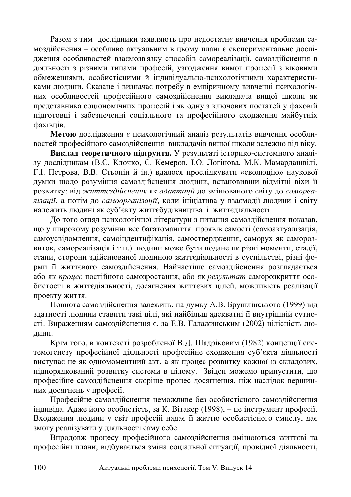Разом з тим дослідники заявляють про недостатнє вивчення проблеми самоздійснення – особливо актуальним в цьому плані є експериментальне дослідження особливостей взаємозв'язку способів самореалізації, самозлійснення в діяльності з різними типами професій, узгодження вимог професії з віковими обмеженнями, особистісними й індивідуально-психологічними характеристиками людини. Сказане і визначає потребу в емпіричному вивченні психологічних особливостей професійного самоздійснення викладача вищої школи як представника соціономічних професій і як одну з ключових постатей у фаховій підготовці і забезпеченні соціального та професійного сходження майбутніх  $\theta$ axibuir.

Метою дослідження є психологічний аналіз результатів вивчення особливостей професійного самоздійснення викладачів вищої школи залежно від віку.

Виклад теоретичного підґрунтя. У результаті історико-системного аналізу дослідникам (В.Є. Клочко, Є. Кемеров, І.О. Логінова, М.К. Мамардашвілі, Г. І. Петрова, В.В. Стьопін й ін.) вдалося прослідкувати «еволюцію» наукової думки щодо розуміння самоздійснення людини, встановивши відмітні віхи її розвитку: від життєздійснення як адаптації до змінюваного світу до самореалізації, а потім до самоорганізації, коли ініціатива у взаємодії людини і світу належить людині як суб'єкту життєбудівництва і життєдіяльності.

До того огляд психологічної літератури з питання самоздійснення показав, що у широкому розумінні все багатоманіття проявів самості (самоактуалізація, самоусвідомлення, самоіндентифікація, самоствердження, саморух як саморозвиток, самореалізація і т.п.) людини може бути подане як різні моменти, стадії, етапи, сторони здійснюваної людиною життєдіяльності в суспільстві, різні форми її життєвого самоздійснення. Найчастіше самоздійснення розглядається або як *процес* постійного самозростання, або як результат саморозкриття особистості в життєдіяльності, досягнення життєвих цілей, можливість реалізації проекту життя.

Повнота самоздійснення залежить, на думку А.В. Брушлінського (1999) від здатності людини ставити такі цілі, які найбільш адекватні її внутрішній сутності. Вираженням самоздійснення є, за Е.В. Галажинським (2002) цілісність людини.

Крім того, в контексті розробленої В.Д. Шадріковим (1982) концепції системогенезу професійної діяльності професійне сходження суб'єкта діяльності виступає не як одномоментний акт, а як процес розвитку кожної із складових, підпорядкований розвитку системи в цілому. Звідси можемо припустити, що професійне самоздійснення скоріше процес досягнення, ніж наслідок вершинних досягнень у професії.

Професійне самоздійснення неможливе без особистісного самоздійснення індивіда. Адже його особистість, за К. Вітакер (1998), – це інструмент професії. Входження людини у світ професій надає її життю особистісного смислу, дає змогу реалізувати у діяльності саму себе.

Впродовж процесу професійного самоздійснення змінюються життєві та професійні плани, відбувається зміна соціальної ситуації, провідної діяльності,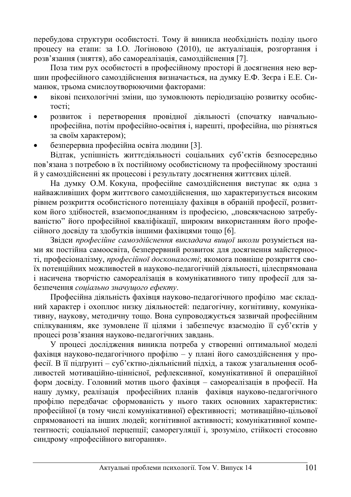перебудова структури особистості. Тому й виникла необхідність полілу цього процесу на етапи: за І.О. Логіновою (2010), це актуалізація, розгортання і розв'язання (зняття), або самореалізація, самозлійснення [7].

Поза тим рух особистості в професійному просторі й досягнення нею вершин професійного самоздійснення визначається, на думку Е.Ф. Зеєра і Е.Е. Симанюк, трьома смислоутворюючими факторами:

- вікові психологічні зміни, що зумовлюють періодизацію розвитку особистості:
- розвиток і перетворення провідної діяльності (спочатку навчальнопрофесійна, потім професійно-освітня і, нарешті, професійна, що різняться за своїм характером):
- безперервна професійна освіта людини [3].

Вілтак, успішність життєліяльності соціальних суб'єктів безпосерелньо пов'язана з потребою в їх постійному особистісному та професійному зростанні й у самоздійсненні як процесові і результату досягнення життєвих цілей.

На думку О.М. Кокуна, професійне самоздійснення виступає як одна з найважливіших форм життєвого самоздійснення, що характеризується високим рівнем розкриття особистісного потенціалу фахівця в обраній професії, розвитком його здібностей, взаємопоєднанням із професією, "повсякчасною затребуваністю" його професійної кваліфікації, широким використанням його професійного досвіду та здобутків іншими фахівцями тощо [6].

Звідси професійне самоздійснення викладача вищої школи розуміється нами як постійна самоосвіта, безперервний розвиток для досягнення майстерності, професіоналізму, *професійної досконалості*; якомога повніше розкриття своїх потенційних можливостей в науково-педагогічній діяльності, цілеспрямована і насичена творчістю самореалізація в комунікативного типу професії для забезпечення *соціально значущого ефекту*.

Професійна діяльність фахівця науково-педагогічного профілю має складний характер і охоплює низку діяльностей: педагогічну, когнітивну, комунікативну, наукову, методичну тощо. Вона супроводжується зазвичай професійним спілкуванням, яке зумовлене її цілями і забезпечує взаємодію її суб'єктів у процесі розв'язання науково-педагогічних завдань.

У процесі дослідження виникла потреба у створенні оптимальної моделі фахівця науково-педагогічного профілю – у плані його самоздійснення у професії. В її підгрунті – суб'єктно-діяльнісний підхід, а також узагальнення особливостей мотиваційно-ціннісної, рефлексивної, комунікативної й операційної форм досвіду. Головний мотив цього фахівця – самореалізація в професії. На <del>НАШУ ДУМКУ, реалізація професійних</del> планів фахівця науково-педагогічного профілю передбачає сформованість у нього таких основних характеристик: професійної (в тому числі комунікативної) ефективності; мотиваційно-цільової спрямованості на інших людей; когнітивної активності; комунікативної компетентності; соціальної перцепції; саморегуляції і, зрозуміло, стійкості стосовно синдрому «професійного вигорання».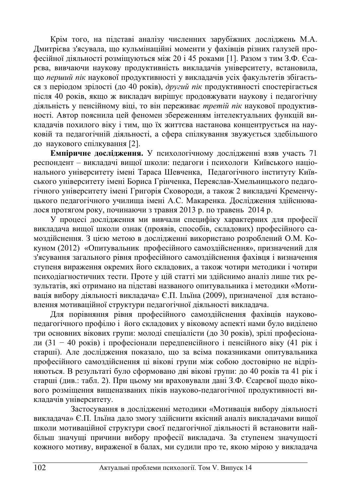Крім того, на підставі аналізу численних зарубіжних досліджень М.А. Дмитрієва з'ясувала, що кульмінаційні моменти у фахівців різних галузей професійної діяльності розміщуються між 20 і 45 роками [1]. Разом з тим З.Ф. Єса-•<br>рєва, вивчаючи наукову продуктивність викладачів університету, встановила, що перший пік наукової продуктивності у викладачів усіх факультетів збігається з періодом зрілості (до 40 років), *другий пік* продуктивності спостерігається після 40 років, якщо ж викладач вирішує продовжувати наукову і педагогічну діяльність у пенсійному віці, то він переживає *третій пік* наукової продуктивності. Автор пояснила цей феномен збереженням інтелектуальних функцій викладачів похилого віку і тим, що їх життєва настанова концентрується на науковій та педагогічній діяльності, а сфера спілкування звужується здебільшого до наукового спілкування [2].

Емпіричне дослідження. У психологічному дослідженні взяв участь 71 респонлент – виклалачі вишої школи: пелагоги і психологи Київського напіонального університету імені Тараса Шевченка, Педагогічного інституту Київського університету імені Бориса Грінченка, Переяслав-Хмельницького педагогічного університету імені Григорія Сковороди, а також 2 викладачі Кременчуцького педагогічного училища імені А.С. Макаренка. Дослідження здійснювалося протягом року, починаючи з травня 2013 р. по травень 2014 р.

У процесі дослідження ми вивчали специфіку характерних для професії викладача вищої школи ознак (проявів, способів, складових) професійного самоздійснення. З цією метою в дослідженні використано розроблений О.М. Кокуном (2012) «Опитувальник професійного самоздійснення», призначений для з'ясування загального рівня професійного самоздійснення фахівця і визначення ступеня вираження окремих його складових, а також чотири методики і чотири психодіагностичних тести. Проте у цій статті ми здійснимо аналіз лише тих результатів, які отримано на підставі названого опитувальника і методики «Мотивація вибору діяльності викладача» Є.П. Ільїна (2009), призначеної для встановлення мотиваційної структури педагогічної діяльності викладача.

Для порівняння рівня професійного самоздійснення фахівців науковопедагогічного профілю і його складових у віковому аспекті нами було виділено три основних вікових групи: молоді спеціалісти (до 30 років), зрілі професіонали (31 – 40 років) і професіонали передпенсійного і пенсійного віку (41 рік і старші). Але дослідження показало, що за всіма показниками опитувальника професійного самоздійснення ці вікові групи між собою достовірно не відрізняються. В результаті було сформовано дві вікові групи: до 40 років та 41 рік і старші (див.: табл. 2). При цьому ми враховували дані З.Ф. Єсарєвої щодо вікового розміщення вищеназваних піків науково-педагогічної продуктивності викладачів університету.

Застосування в дослідженні методики «Мотивація вибору діяльності викладача» Є.П. Ільїна дало змогу здійснити якісний аналіз викладачами вищої школи мотиваційної структури своєї педагогічної діяльності й встановити найбільш значущі причини вибору професії викладача. За ступенем значущості кожного мотиву, вираженої в балах, ми судили про те, якою мірою у викладача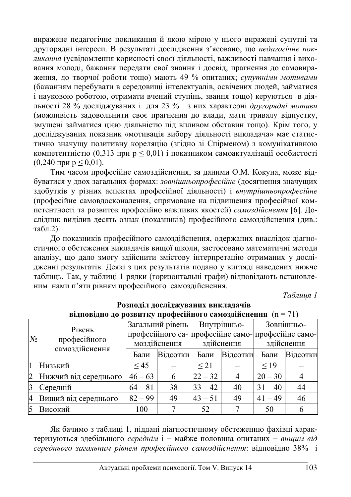виражене педагогічне покликання й якою мірою у нього виражені супутні та другорядні інтереси. В результаті дослідження з'ясовано, що педагогічне покдикання (усвіломлення корисності своєї ліяльності, важливості навчання і виховання молоді, бажання передати свої знання і досвід, прагнення до самовираження, до творчої роботи тощо) мають 49 % опитаних; супутніми мотивами (бажанням перебувати в середовищі інтелектуалів, освічених людей, займатися і науковою роботою, отримати вчений ступінь, звання тощо) керуються в діяльності 28 % досліджуваних і для 23 % з них характерні другорядні мотиви (можливість задовольнити своє прагнення до влади, мати тривалу відпустку, змущені займатися пією ліяльністю піл впливом обставин тощо). Крім того, у досліджуваних показник «мотивація вибору діяльності викладача» має статистично значущу позитивну кореляцію (згідно зі Спірменом) з комунікативною компетентністю (0,313 при  $p \leq 0.01$ ) і показником самоактуалізації особистості  $(0,240 \text{ при } p \leq 0.01).$ 

Тим часом професійне самоздійснення, за даними О.М. Кокуна, може відбуватися у двох загальних формах: *зовнішньопрофесійне* (досягнення значущих здобутків у різних аспектах професійної діяльності) і *внутрішньопрофесійне* (професійне самовдосконалення, спрямоване на підвищення професійної компетентності та розвиток професійно важливих якостей) *самоздійснення* [6]. Дослідник виділив десять ознак (показників) професійного самоздійснення (див.: табл.2).

До показників професійного самоздійснення, одержаних внаслідок діагностичного обстеження викладачів вищої школи, застосовано математичні методи аналізу, що дало змогу здійснити змістову інтерпретацію отриманих у дослідженні результатів. Деякі з цих результатів подано у вигляді наведених нижче таблиць. Так, у таблиці 1 рядки (горизонтальні графи) відповідають встановленим нами п'яти рівням професійного самозлійснення.

*Таблиия 1* 

|       | <b>ВІДПОВІДНО ДО РОЗВИТКУ ПРОФЕСІИНОГО САМОЗДІЙСНЕННЯ</b> (П = 71) |                  |          |             |                |                                                    |          |  |  |
|-------|--------------------------------------------------------------------|------------------|----------|-------------|----------------|----------------------------------------------------|----------|--|--|
| $N_2$ | Рівень<br>професійного<br>самоздійснення                           | Загальний рівень |          | Внутрішньо- |                | Зовнішньо-                                         |          |  |  |
|       |                                                                    |                  |          |             |                | професійного са- професійне само- професійне само- |          |  |  |
|       |                                                                    | моздійснення     |          | здійснення  |                | здійснення                                         |          |  |  |
|       |                                                                    | Бали             | Відсотки | Бали        | Відсотки       | Бали                                               | Вілсотки |  |  |
|       | Низький                                                            | $\leq 45$        |          | $\leq$ 21   |                | $\leq$ 19                                          |          |  |  |
|       | Нижчий від середнього                                              | $46 - 63$        | 6        | $22 - 32$   | $\overline{4}$ | $20 - 30$                                          |          |  |  |
|       | Середній                                                           | $64 - 81$        | 38       | $33 - 42$   | 40             | $31 - 40$                                          | 44       |  |  |
| 14    | Вищий від середнього                                               | $82 - 99$        | 49       | $43 - 51$   | 49             | $41 - 49$                                          | 46       |  |  |
|       | Високий                                                            | 100              |          | 52          |                | 50                                                 |          |  |  |

#### Розподіл досліджуваних викладачів **z**<sub>γ</sub> προφορίŭπος οργορτίŭουσμα (n = 71)

Як бачимо з таблиці 1, піддані діагностичному обстеженню фахівці характеризуються здебільшого середнім *і* – майже половина опитаних – вищим від середнього загальним рівнем професійного самоздійснення: відповідно 38% і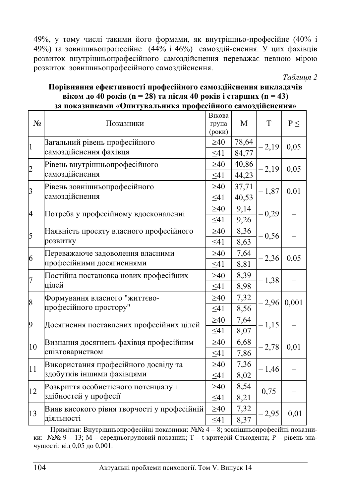49%, у тому числі такими його формами, як внутрішньо-професійне (40% і 49%) та зовнішньопрофесійне  $(44\% i 46\%)$  самоздій-снення. У цих фахівців розвиток внутрішньопрофесійного самоздійснення переважає певною мірою розвиток зовнішньопрофесійного самозлійснення.

 $Ta6$ лиия 2

|                | за показниками «Опитувальника професійного самоздійснення»         |           |       |         |          |  |  |
|----------------|--------------------------------------------------------------------|-----------|-------|---------|----------|--|--|
| N <sub>2</sub> | Показники                                                          |           | M     | T       | $P \leq$ |  |  |
| $\vert$ 1      | Загальний рівень професійного<br>самоздійснення фахівця            |           | 78,64 | $-2,19$ | 0,05     |  |  |
|                |                                                                    |           | 84,77 |         |          |  |  |
| $\overline{c}$ | Рівень внутрішньопрофесійного<br>самоздійснення                    |           | 40,86 | $-2,19$ | 0,05     |  |  |
|                |                                                                    |           | 44,23 |         |          |  |  |
| $\vert$ 3      | Рівень зовнішньопрофесійного<br>самоздійснення                     |           | 37,71 | $-1,87$ | 0,01     |  |  |
|                |                                                                    |           | 40,53 |         |          |  |  |
| 4              | Потреба у професійному вдосконаленні                               |           | 9,14  | $-0,29$ |          |  |  |
|                |                                                                    |           | 9,26  |         |          |  |  |
| 5              | Наявність проекту власного професійного<br>розвитку                |           | 8,36  | $-0,56$ |          |  |  |
|                |                                                                    |           | 8,63  |         |          |  |  |
| 6              | Переважаюче задоволення власними                                   | $\geq 40$ | 7,64  | $-2,36$ | 0,05     |  |  |
|                | професійними досягненнями                                          |           | 8,81  |         |          |  |  |
| $\overline{7}$ | Постійна постановка нових професійних<br>цілей                     |           | 8,39  | $-1,38$ |          |  |  |
|                |                                                                    |           | 8,98  |         |          |  |  |
| 8              | Формування власного "життєво-<br>професійного простору"            |           | 7,32  | $-2,96$ | 0,001    |  |  |
|                |                                                                    |           | 8,56  |         |          |  |  |
| 9              | Досягнення поставлених професійних цілей                           |           | 7,64  | $-1,15$ |          |  |  |
|                |                                                                    |           | 8,07  |         |          |  |  |
| 10             | Визнання досягнень фахівця професійним<br>співтовариством          |           | 6,68  | $-2,78$ | 0,01     |  |  |
|                |                                                                    |           | 7,86  |         |          |  |  |
| 11             | Використання професійного досвіду та<br>здобутків іншими фахівцями |           | 7,36  | $-1,46$ |          |  |  |
|                |                                                                    |           | 8,02  |         |          |  |  |
| 12             | Розкриття особистісного потенціалу і<br>здібностей у професії      |           | 8,54  | 0,75    |          |  |  |
|                |                                                                    |           | 8,21  |         |          |  |  |
| 13             | Вияв високого рівня творчості у професійній<br>діяльності          |           | 7,32  | $-2,95$ | 0,01     |  |  |
|                |                                                                    |           | 8,37  |         |          |  |  |

### Порівняння ефективності професійного самоздійснення викладачів  $\bf{B}$  **i kom**  $\bf{A}$ **0**  $\bf{p}$  $\bf{0}$  **<b>i**  $\bf{0}$   $\bf{0}$   $\bf{0}$   $\bf{0}$   $\bf{0}$   $\bf{0}$   $\bf{0}$   $\bf{1}$   $\bf{0}$   $\bf{0}$   $\bf{0}$   $\bf{1}$   $\bf{0}$   $\bf{1}$  $\bf{0}$   $\bf{1}$  $\bf{0}$   $\bf{1}$ за показниками «Опитувальника професійного самоздійснення»

Примітки: Внутрішньопрофесійні показники: №№ 4 – 8; зовнішньопрофесійні показники:  $N$ е $N$  9 – 13; М – середньогруповий показник; Т – t-критерій Стьюдента; Р – рівень значущості: від 0,05 до 0,001.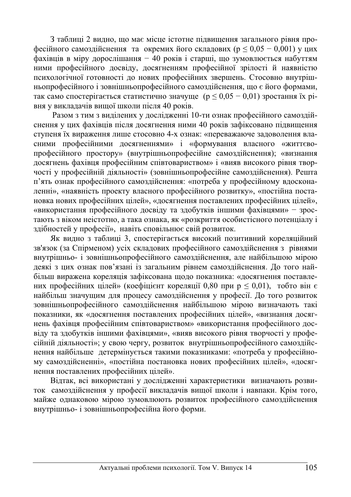3 таблиці 2 видно, що має місце істотне підвищення загального рівня про- $\phi$ есійного самоздійснення та окремих його складових (р < 0,05 – 0,001) у цих фахівців в міру дорослішання - 40 років і старші, що зумовлюється набуттям ними професійного досвілу, досягненням професійної зрілості й наявністю психологічної готовності до нових професійних звершень. Стосовно внутрішньопрофесійного і зовнішньопрофесійного самоздійснення, що є його формами, так само спостерігається статистично значуще ( $p \le 0.05 - 0.01$ ) зростання їх рівня у викладачів вищої школи після 40 років.

Разом з тим з виділених у дослідженні 10-ти ознак професійного самоздійснення у цих фахівців після досягнення ними 40 років зафіксовано підвищення ступеня їх вираження лише стосовно 4-х ознак: «переважаюче задоволення власними професійними лосягненнями» і «формування власного «життєвопрофесійного простору» (внутрішньопрофесійне самоздійснення); «визнання досягнень фахівця професійним співтовариством» і «вияв високого рівня творчості у професійній діяльності» (зовнішньопрофесійне самоздійснення). Решта п'ять ознак професійного самоздійснення: «потреба у професійному вдосконаленні», «наявність проекту власного професійного розвитку», «постійна постановка нових професійних цілей», «досягнення поставлених професійних цілей», «використання професійного досвіду та здобутків іншими фахівцями» - зростають з віком неістотно, а така ознака, як «розкриття особистісного потенціалу і здібностей у професії», навіть сповільнює свій розвиток.

Як видно з таблиці 3, спостерігається високий позитивний кореляційний зв'язок (за Спірменом) усіх складових професійного самоздійснення з рівнями внутрішньо- і зовнішньопрофесійного самоздійснення, але найбільшою мірою деякі з цих ознак пов'язані із загальним рівнем самоздійснення. До того найбільш виражена кореляція зафіксована щодо показника: «досягнення поставлених професійних цілей» (коефіцієнт кореляції 0,80 при р  $\leq$  0,01), тобто він є найбільш значущим для процесу самоздійснення у професії. До того розвиток зовнішньопрофесійного самоздійснення найбільшою мірою визначають такі показники, як «досягнення поставлених професійних цілей», «визнання досягнень фахівця професійним співтовариством» «використання професійного досвіду та здобутків іншими фахівцями», «вияв високого рівня творчості у професійній діяльності»; у свою чергу, розвиток внутрішньопрофесійного самоздійснення найбільше детермінується такими показниками: «потреба у професійному самоздійсненні», «постійна постановка нових професійних цілей», «досягнення поставлених професійних цілей».

Відтак, всі використані у дослідженні характеристики визначають розвиток самоздійснення у професії викладачів вищої школи і навпаки. Крім того, майже однаковою мірою зумовлюють розвиток професійного самоздійснення внутрішньо- і зовнішньопрофесійна його форми.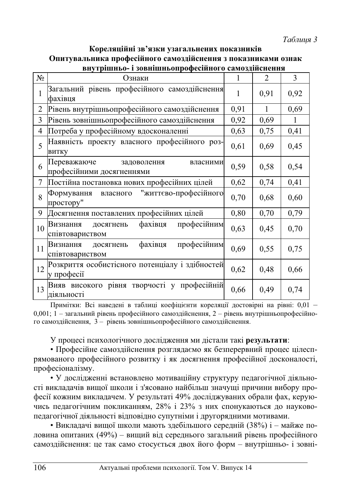*Tаблиия* 3

| Кореляційні зв'язки узагальнених показників                   |
|---------------------------------------------------------------|
| Опитувальника професійного самоздійснення з показниками ознак |
| внутрішньо- і зовнішньопрофесійного самоздійснення            |

| Nº. | Ознаки                                                              | 1    | $\mathfrak{D}$ | $\mathcal{E}$ |
|-----|---------------------------------------------------------------------|------|----------------|---------------|
| 1   | Загальний рівень професійного самоздійснення<br>фахівця             | 1    | 0,91           | 0,92          |
| 2   | Рівень внутрішньопрофесійного самоздійснення                        | 0,91 | 1              | 0,69          |
| 3   | Рівень зовнішньопрофесійного самоздійснення                         |      | 0,69           | 1             |
| 4   | Потреба у професійному вдосконаленні                                | 0,63 | 0,75           | 0,41          |
| 5   | Наявність проекту власного професійного роз-<br>витку               | 0,61 | 0,69           | 0,45          |
| 6   | Переважаюче<br>задоволення<br>власними<br>професійними досягненнями | 0,59 | 0,58           | 0,54          |
| 7   | Постійна постановка нових професійних цілей                         | 0,62 | 0,74           | 0,41          |
| 8   | "життєво-професійного<br>Формування власного<br>простору"           | 0,70 | 0,68           | 0,60          |
| 9   | Досягнення поставлених професійних цілей                            | 0,80 | 0,70           | 0,79          |
| 10  | професійним<br>фахівця<br>Визнання<br>досягнень<br>співтовариством  | 0,63 | 0.45           | 0,70          |
| 11  | професійним<br>фахівця<br>Визнання<br>досягнень<br>співтовариством  | 0,69 | 0,55           | 0,75          |
| 12  | Розкриття особистісного потенціалу і здібностей<br>у професії       | 0,62 | 0,48           | 0,66          |
| 13  | Вияв високого рівня творчості у професійній<br>діяльності           | 0,66 | 0,49           | 0,74          |

Примітки: Всі наведені в таблиці коефіцієнти кореляції достовірні на рівні: 0,01 – 0,001; 1 – загальний рівень професійного самоздійснення, 2 – рівень внутрішньопрофесійного самоздійснення, 3 – рівень зовнішньопрофесійного самоздійснення.

У процесі психологічного дослідження ми дістали такі результати:

• Професійне самоздійснення розглядаємо як безперервний процес цілеспрямованого професійного розвитку і як досягнення професійної досконалості, професіоналізму.

• У дослідженні встановлено мотиваційну структуру педагогічної діяльності викладачів вищої школи і з'ясовано найбільш значущі причини вибору професії кожним викладачем. У результаті 49% досліджуваних обрали фах, керуючись педагогічним покликанням, 28% і 23% з них спонукаються до науковопедагогічної діяльності відповідно супутніми і другорядними мотивами.

• Викладачі вищої школи мають здебільшого середній (38%) і – майже половина опитаних (49%) – вищий від середнього загальний рівень професійного самоздійснення: це так само стосується двох його форм – внутрішньо- і зовні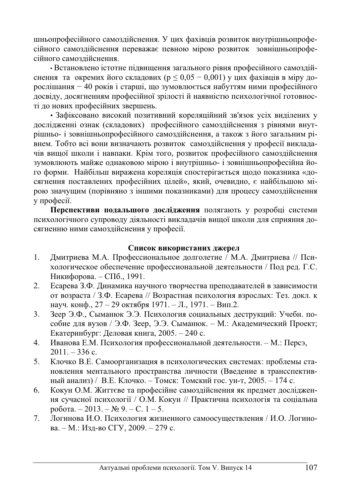шньопрофесійного самоздійснення. У цих фахівців розвиток внутрішньопрофесійного самоздійснення переважає певною мірою розвиток зовнішньопрофесійного самозлійснення.

• Встановлено істотне підвищення загального рівня професійного самоздійснення та окремих його складових ( $p \leq 0.05 - 0.001$ ) у цих фахівців в міру дорослішання – 40 років і старші, що зумовлюється набуттям ними професійного досвіду, досягненням професійної зрілості й наявністю психологічної готовності до нових професійних звершень.

• Зафіксовано високий позитивний кореляційний зв'язок усіх виділених у дослідженні ознак (складових) професійного самоздійснення з рівнями внутрішньо- і зовнішньопрофесійного самоздійснення, а також з його загальним рівнем. Тобто всі вони визначають розвиток самозлійснення у професії виклалачів вищої школи і навпаки. Крім того, розвиток професійного самоздійснення зумовлюють майже однаковою мірою і внутрішньо- і зовнішньопрофесійна його форми. Найбільш виражена кореляція спостерігається щодо показника «досягнення поставлених професійних цілей», який, очевидно, є найбільшою мірою значущим (порівняно з іншими показниками) для процесу самоздійснення у професії.

Перспективи подальшого дослідження полягають у розробці системи психологічного супроводу діяльності викладачів вищої школи для сприяння досягненню ними самоздійснення у професії.

#### Список використаних джерел

- 1. Дмитриева М.А. Профессиональное долголетие / М.А. Дмитриева // Психологическое обеспечение профессиональной деятельности / Под ред. Г.С. Никифорова. – СПб., 1991.
- 2. Есарева З.Ф. Динамика научного творчества преподавателей в зависимости от возраста / З.Ф. Есарева // Возрастная психология взрослых: Тез. докл. к науч. конф., 27 – 29 октября 1971. – Л., 1971. – Вип.2.
- 3. Зеер Э.Ф., Сыманюк Э.Э. Психология социальных деструкций: Учебн. пособие для вузов / Э.Ф. Зеер, Э.Э. Сыманюк. – М.: Академический Проект; Екатеринбург: Деловая книга, 2005. – 240 с.
- 4. Иванова Е.М. Психология профессиональной деятельности. М.: Персэ,  $2011. - 336$  c.
- 5. Клочко В.Е. Самоорганизация в психологических системах: проблемы становлення ментального пространства личности (Введение в трансспективный анализ) / В.Е. Клочко. – Томск: Томский гос. ун-т, 2005. – 174 с.
- 6. Кокун О.М. Життєве та професійне самоздійснення як предмет дослідження сучасної психології / О.М. Кокун // Практична психологія та соціальна робота. – 2013. – № 9. – С. 1 – 5.
- 7. Логинова И.О. Психология жизненного самоосуществления / И.О. Логинова. – М.: Изд-во СГУ, 2009. – 279 с.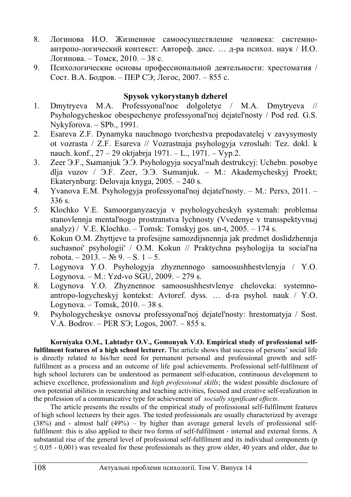- 8. Логинова И.О. Жизненное самоосуществление человека: системноантропо-логический контекст: Автореф. дисс. ... д-ра психол. наук / И.О. Логинова. – Томск, 2010. – 38 с.
- 9. Психологические основы профессиональной деятельности: хрестоматия / Сост. В.А. Бодров. – ПЕР СЭ; Логос, 2007. – 855 с.

### **Spysok vykorystanyh dzherel**

- 1. Dmytryeva M.A. Professyonal'noe dolgoletye / M.A. Dmytryeva // Psyhologycheskoe obespechenye professyonal'noj dejatel'nosty / Pod red. G.S. Nykyforova. – SPb., 1991.
- 2. Esareva Z.F. Dynamyka nauchnogo tvorchestva prepodavatelej v zavysymosty ot vozrasta / Z.F. Esareva // Vozrastnaja psyhologyja vzrosluh: Tez. dokl. k nauch. konf., 27 – 29 oktjabrja 1971. – L., 1971. – Vyp.2.
- 3. Zeer Э.F., Sыmanjuk Э.Э. Psyhologyja socyal'nыh destrukcyj: Uchebn. posobye dlja vuzov / ɗ.F. Zeer, ɗ.ɗ. Sɵmanjuk. – M.: Akademycheskyj Proekt; Ekaterynburg: Delovaja knyga, 2005. – 240 s.
- 4. Yvanova E.M. Psyhologyja professyonal'noj dejatel'nosty. M.: Persa, 2011. 336 s.
- 5. Klochko V.E. Samoorganyzacyja v psyhologycheskyh systemah: problemы stanovlennja mental'nogo prostranstva lychnosty (Vvedenye v transspektyvnыj analyz) / V.E. Klochko. – Tomsk: Tomskyj gos. un-t, 2005. – 174 s.
- 6. Kokun O.M. Zhyttjeve ta profesijne samozdijsnennja jak predmet doslidzhennja suchasnoi' psyhologii' / O.M. Kokun // Praktychna psyhologija ta social'na robota. – 2013. –  $\mathbb{N}^{\circ}$  9. – S. 1 – 5.
- 7. Logynova Y.O. Psyhologyja zhyznennogo samoosushhestvlenyja / Y.O. Logynova. – M.: Yzd-vo SGU, 2009. – 279 s.
- 8. Logynova Y.O. Zhyznennoe samoosushhestvlenye cheloveka: systemnoantropo-logycheskyj kontekst: Avtoref. dyss. … d-ra psyhol. nauk / Y.O. Logynova. – Tomsk,  $2010. - 38$  s.
- 9. Psyhologycheskye osnov<sub>b</sub> professyonal'noj dejatel'nosty: hrestomatyja / Sost. V.A. Bodrov. – PER S $\Im$ ; Logos, 2007. – 855 s.

**Korniyaka O.M., Lahtadyr O.V., Gomonyuk V.O. Empirical study of professional selffulfilment features of a high school lecturer.** The article shows that success of persons' social life is directly related to his/her need for permanent personal and professional growth and selffulfilment as a process and an outcome of life goal achievements. Professional self-fulfilment of high school lecturers can be understood as permanent self-education, continuous development to achieve excellence, professionalism and *high professional skills*; the widest possible disclosure of own potential abilities in researching and teaching activities, focused and creative self-realization in the profession of a communicative type for achievement of *socially significant effects*.

The article presents the results of the empirical study of professional self-fulfilment features of high school lecturers by their ages. The tested professionals are usually characterized by average (38%) and - almost half (49%) – by higher than average general levels of professional selffulfilment: this is also applied to their two forms of self-fulfilment - internal and external forms. A substantial rise of the general level of professional self-fulfilment and its individual components (p  $\leq 0.05$  - 0,001) was revealed for these professionals as they grow older, 40 years and older, due to